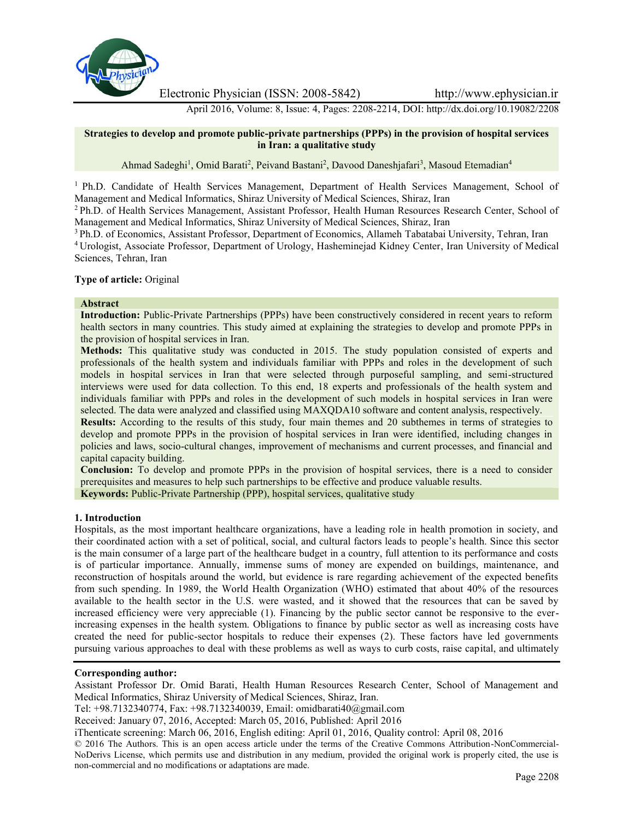

Electronic Physician (ISSN: 2008-5842) http://www.ephysician.ir

April 2016, Volume: 8, Issue: 4, Pages: 2208-2214, DOI: http://dx.doi.org/10.19082/2208

#### **Strategies to develop and promote public-private partnerships (PPPs) in the provision of hospital services in Iran: a qualitative study**

Ahmad Sadeghi<sup>1</sup>, Omid Barati<sup>2</sup>, Peivand Bastani<sup>2</sup>, Davood Daneshjafari<sup>3</sup>, Masoud Etemadian<sup>4</sup>

<sup>1</sup> Ph.D. Candidate of Health Services Management, Department of Health Services Management, School of Management and Medical Informatics, Shiraz University of Medical Sciences, Shiraz, Iran

<sup>2</sup> Ph.D. of Health Services Management, Assistant Professor, Health Human Resources Research Center, School of Management and Medical Informatics, Shiraz University of Medical Sciences, Shiraz, Iran

<sup>3</sup> Ph.D. of Economics, Assistant Professor, Department of Economics, Allameh Tabatabai University, Tehran, Iran <sup>4</sup> Urologist, Associate Professor, Department of Urology, Hasheminejad Kidney Center, Iran University of Medical Sciences, Tehran, Iran

#### **Type of article:** Original

#### **Abstract**

**Introduction:** Public-Private Partnerships (PPPs) have been constructively considered in recent years to reform health sectors in many countries. This study aimed at explaining the strategies to develop and promote PPPs in the provision of hospital services in Iran.

**Methods:** This qualitative study was conducted in 2015. The study population consisted of experts and professionals of the health system and individuals familiar with PPPs and roles in the development of such models in hospital services in Iran that were selected through purposeful sampling, and semi-structured interviews were used for data collection. To this end, 18 experts and professionals of the health system and individuals familiar with PPPs and roles in the development of such models in hospital services in Iran were selected. The data were analyzed and classified using MAXQDA10 software and content analysis, respectively.

**Results:** According to the results of this study, four main themes and 20 subthemes in terms of strategies to develop and promote PPPs in the provision of hospital services in Iran were identified, including changes in policies and laws, socio-cultural changes, improvement of mechanisms and current processes, and financial and capital capacity building.

**Conclusion:** To develop and promote PPPs in the provision of hospital services, there is a need to consider prerequisites and measures to help such partnerships to be effective and produce valuable results.

**Keywords:** Public-Private Partnership (PPP), hospital services, qualitative study

## **1. Introduction**

Hospitals, as the most important healthcare organizations, have a leading role in health promotion in society, and their coordinated action with a set of political, social, and cultural factors leads to people's health. Since this sector is the main consumer of a large part of the healthcare budget in a country, full attention to its performance and costs is of particular importance. Annually, immense sums of money are expended on buildings, maintenance, and reconstruction of hospitals around the world, but evidence is rare regarding achievement of the expected benefits from such spending. In 1989, the World Health Organization (WHO) estimated that about 40% of the resources available to the health sector in the U.S. were wasted, and it showed that the resources that can be saved by increased efficiency were very appreciable (1). Financing by the public sector cannot be responsive to the everincreasing expenses in the health system. Obligations to finance by public sector as well as increasing costs have created the need for public-sector hospitals to reduce their expenses (2). These factors have led governments pursuing various approaches to deal with these problems as well as ways to curb costs, raise capital, and ultimately

# **Corresponding author:**

Assistant Professor Dr. Omid Barati, Health Human Resources Research Center, School of Management and Medical Informatics, Shiraz University of Medical Sciences, Shiraz, Iran.

Tel: +98.7132340774, Fax: +98.7132340039, Email: omidbarati40@gmail.com

Received: January 07, 2016, Accepted: March 05, 2016, Published: April 2016

iThenticate screening: March 06, 2016, English editing: April 01, 2016, Quality control: April 08, 2016

© 2016 The Authors. This is an open access article under the terms of the Creative Commons Attribution-NonCommercial- NoDerivs License, which permits use and distribution in any medium, provided the original work is properly cited, the use is non-commercial and no modifications or adaptations are made.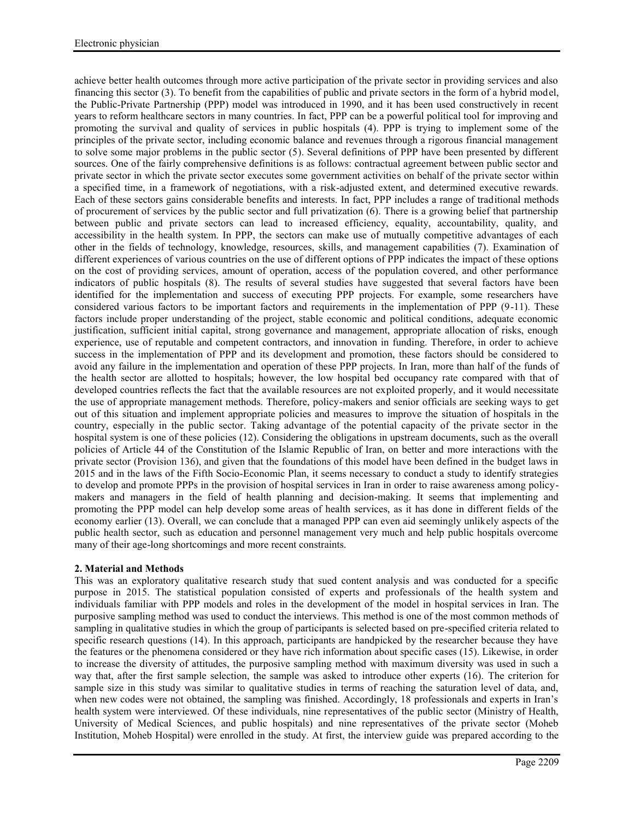achieve better health outcomes through more active participation of the private sector in providing services and also financing this sector (3). To benefit from the capabilities of public and private sectors in the form of a hybrid model, the Public-Private Partnership (PPP) model was introduced in 1990, and it has been used constructively in recent years to reform healthcare sectors in many countries. In fact, PPP can be a powerful political tool for improving and promoting the survival and quality of services in public hospitals (4). PPP is trying to implement some of the principles of the private sector, including economic balance and revenues through a rigorous financial management to solve some major problems in the public sector (5). Several definitions of PPP have been presented by different sources. One of the fairly comprehensive definitions is as follows: contractual agreement between public sector and private sector in which the private sector executes some government activities on behalf of the private sector within a specified time, in a framework of negotiations, with a risk-adjusted extent, and determined executive rewards. Each of these sectors gains considerable benefits and interests. In fact, PPP includes a range of traditional methods of procurement of services by the public sector and full privatization (6). There is a growing belief that partnership between public and private sectors can lead to increased efficiency, equality, accountability, quality, and accessibility in the health system. In PPP, the sectors can make use of mutually competitive advantages of each other in the fields of technology, knowledge, resources, skills, and management capabilities (7). Examination of different experiences of various countries on the use of different options of PPP indicates the impact of these options on the cost of providing services, amount of operation, access of the population covered, and other performance indicators of public hospitals (8). The results of several studies have suggested that several factors have been identified for the implementation and success of executing PPP projects. For example, some researchers have considered various factors to be important factors and requirements in the implementation of PPP (9-11). These factors include proper understanding of the project, stable economic and political conditions, adequate economic justification, sufficient initial capital, strong governance and management, appropriate allocation of risks, enough experience, use of reputable and competent contractors, and innovation in funding. Therefore, in order to achieve success in the implementation of PPP and its development and promotion, these factors should be considered to avoid any failure in the implementation and operation of these PPP projects. In Iran, more than half of the funds of the health sector are allotted to hospitals; however, the low hospital bed occupancy rate compared with that of developed countries reflects the fact that the available resources are not exploited properly, and it would necessitate the use of appropriate management methods. Therefore, policy-makers and senior officials are seeking ways to get out of this situation and implement appropriate policies and measures to improve the situation of hospitals in the country, especially in the public sector. Taking advantage of the potential capacity of the private sector in the hospital system is one of these policies (12). Considering the obligations in upstream documents, such as the overall policies of Article 44 of the Constitution of the Islamic Republic of Iran, on better and more interactions with the private sector (Provision 136), and given that the foundations of this model have been defined in the budget laws in 2015 and in the laws of the Fifth Socio-Economic Plan, it seems necessary to conduct a study to identify strategies to develop and promote PPPs in the provision of hospital services in Iran in order to raise awareness among policy makers and managers in the field of health planning and decision-making. It seems that implementing and promoting the PPP model can help develop some areas of health services, as it has done in different fields of the economy earlier (13). Overall, we can conclude that a managed PPP can even aid seemingly unlikely aspects of the public health sector, such as education and personnel management very much and help public hospitals overcome many of their age-long shortcomings and more recent constraints.

## **2. Material and Methods**

This was an exploratory qualitative research study that sued content analysis and was conducted for a specific purpose in 2015. The statistical population consisted of experts and professionals of the health system and individuals familiar with PPP models and roles in the development of the model in hospital services in Iran. The purposive sampling method was used to conduct the interviews. This method is one of the most common methods of sampling in qualitative studies in which the group of participants is selected based on pre-specified criteria related to specific research questions (14). In this approach, participants are handpicked by the researcher because they have the features or the phenomena considered or they have rich information about specific cases (15). Likewise, in order to increase the diversity of attitudes, the purposive sampling method with maximum diversity was used in such a way that, after the first sample selection, the sample was asked to introduce other experts (16). The criterion for sample size in this study was similar to qualitative studies in terms of reaching the saturation level of data, and, when new codes were not obtained, the sampling was finished. Accordingly, 18 professionals and experts in Iran's health system were interviewed. Of these individuals, nine representatives of the public sector (Ministry of Health, University of Medical Sciences, and public hospitals) and nine representatives of the private sector (Moheb Institution, Moheb Hospital) were enrolled in the study. At first, the interview guide was prepared according to the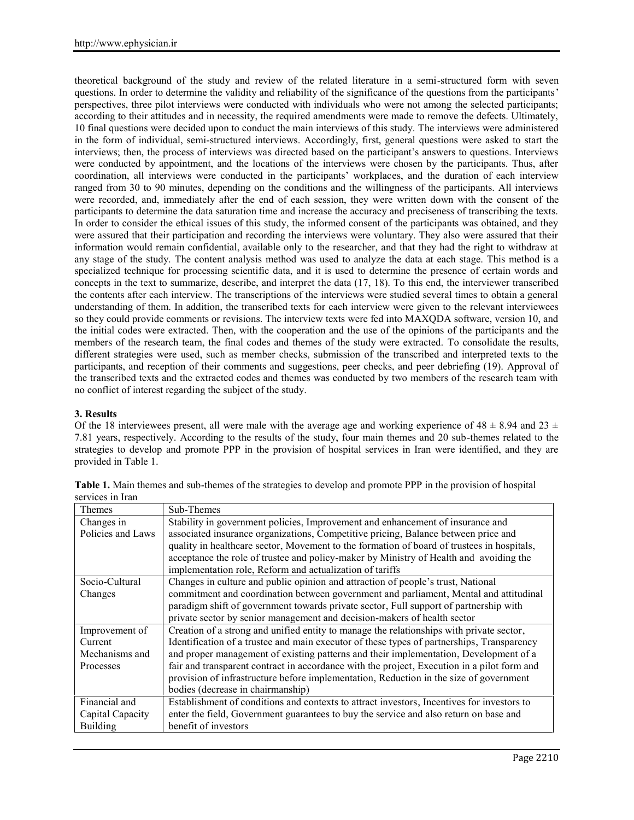theoretical background of the study and review of the related literature in a semi-structured form with seven questions. In order to determine the validity and reliability of the significance of the questions from the participants' perspectives, three pilot interviews were conducted with individuals who were not among the selected participants; according to their attitudes and in necessity, the required amendments were made to remove the defects. Ultimately, 10 final questions were decided upon to conduct the main interviews of this study. The interviews were administered in the form of individual, semi-structured interviews. Accordingly, first, general questions were asked to start the interviews; then, the process of interviews was directed based on the participant's answers to questions. Interviews were conducted by appointment, and the locations of the interviews were chosen by the participants. Thus, after coordination, all interviews were conducted in the participants' workplaces, and the duration of each interview ranged from 30 to 90 minutes, depending on the conditions and the willingness of the participants. All interviews were recorded, and, immediately after the end of each session, they were written down with the consent of the participants to determine the data saturation time and increase the accuracy and preciseness of transcribing the texts. In order to consider the ethical issues of this study, the informed consent of the participants was obtained, and they were assured that their participation and recording the interviews were voluntary. They also were assured that their information would remain confidential, available only to the researcher, and that they had the right to withdraw at any stage of the study. The content analysis method was used to analyze the data at each stage. This method is a specialized technique for processing scientific data, and it is used to determine the presence of certain words and concepts in the text to summarize, describe, and interpret the data (17, 18). To this end, the interviewer transcribed the contents after each interview. The transcriptions of the interviews were studied several times to obtain a general understanding of them. In addition, the transcribed texts for each interview were given to the relevant interviewees so they could provide comments or revisions. The interview texts were fed into MAXQDA software, version 10, and the initial codes were extracted. Then, with the cooperation and the use of the opinions of the participants and the members of the research team, the final codes and themes of the study were extracted. To consolidate the results, different strategies were used, such as member checks, submission of the transcribed and interpreted texts to the participants, and reception of their comments and suggestions, peer checks, and peer debriefing (19). Approval of the transcribed texts and the extracted codes and themes was conducted by two members of the research team with no conflict of interest regarding the subject of the study.

## **3. Results**

Of the 18 interviewees present, all were male with the average age and working experience of  $48 \pm 8.94$  and  $23 \pm 24$ 7.81 years, respectively. According to the results of the study, four main themes and 20 sub-themes related to the strategies to develop and promote PPP in the provision of hospital services in Iran were identified, and they are provided in Table 1.

| Themes            | Sub-Themes                                                                                  |
|-------------------|---------------------------------------------------------------------------------------------|
| Changes in        | Stability in government policies, Improvement and enhancement of insurance and              |
| Policies and Laws | associated insurance organizations, Competitive pricing, Balance between price and          |
|                   | quality in healthcare sector, Movement to the formation of board of trustees in hospitals,  |
|                   | acceptance the role of trustee and policy-maker by Ministry of Health and avoiding the      |
|                   | implementation role, Reform and actualization of tariffs                                    |
| Socio-Cultural    | Changes in culture and public opinion and attraction of people's trust, National            |
| Changes           | commitment and coordination between government and parliament, Mental and attitudinal       |
|                   | paradigm shift of government towards private sector, Full support of partnership with       |
|                   | private sector by senior management and decision-makers of health sector                    |
| Improvement of    | Creation of a strong and unified entity to manage the relationships with private sector,    |
| Current           | Identification of a trustee and main executor of these types of partnerships, Transparency  |
| Mechanisms and    | and proper management of existing patterns and their implementation, Development of a       |
| Processes         | fair and transparent contract in accordance with the project, Execution in a pilot form and |
|                   | provision of infrastructure before implementation, Reduction in the size of government      |
|                   | bodies (decrease in chairmanship)                                                           |
| Financial and     | Establishment of conditions and contexts to attract investors, Incentives for investors to  |
| Capital Capacity  | enter the field, Government guarantees to buy the service and also return on base and       |
| <b>Building</b>   | benefit of investors                                                                        |

| Table 1. Main themes and sub-themes of the strategies to develop and promote PPP in the provision of hospital |  |
|---------------------------------------------------------------------------------------------------------------|--|
| services in Iran                                                                                              |  |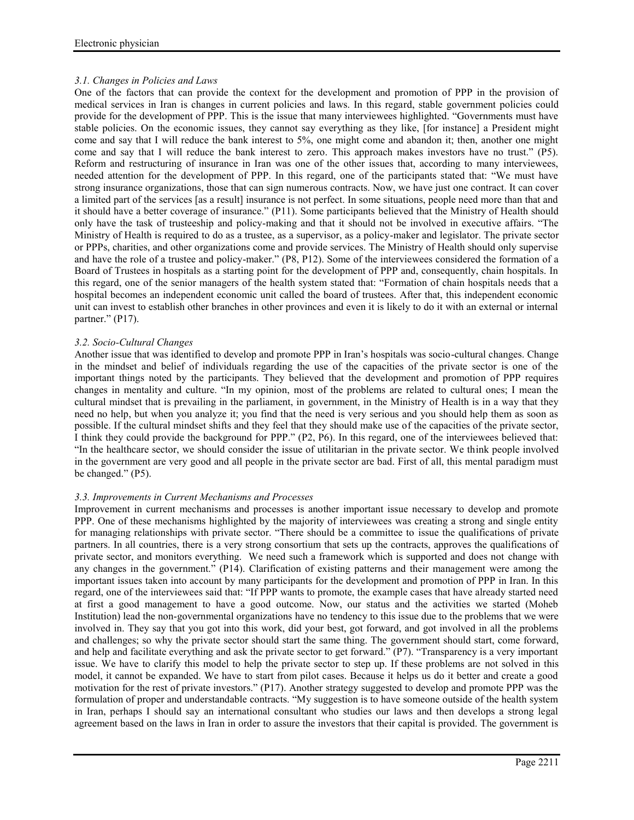# *3.1. Changes in Policies and Laws*

One of the factors that can provide the context for the development and promotion of PPP in the provision of medical services in Iran is changes in current policies and laws. In this regard, stable government policies could provide for the development of PPP. This is the issue that many interviewees highlighted. "Governments must have stable policies. On the economic issues, they cannot say everything as they like, [for instance] a President might come and say that I will reduce the bank interest to 5%, one might come and abandon it; then, another one might come and say that I will reduce the bank interest to zero. This approach makes investors have no trust." (P5). Reform and restructuring of insurance in Iran was one of the other issues that, according to many interviewees, needed attention for the development of PPP. In this regard, one of the participants stated that: "We must have strong insurance organizations, those that can sign numerous contracts. Now, we have just one contract. It can cover a limited part of the services [as a result] insurance is not perfect. In some situations, people need more than that and it should have a better coverage of insurance." (P11). Some participants believed that the Ministry of Health should only have the task of trusteeship and policy-making and that it should not be involved in executive affairs. "The Ministry of Health is required to do as a trustee, as a supervisor, as a policy-maker and legislator. The private sector or PPPs, charities, and other organizations come and provide services. The Ministry of Health should only supervise and have the role of a trustee and policy-maker." (P8, P12). Some of the interviewees considered the formation of a Board of Trustees in hospitals as a starting point for the development of PPP and, consequently, chain hospitals. In this regard, one of the senior managers of the health system stated that: "Formation of chain hospitals needs that a hospital becomes an independent economic unit called the board of trustees. After that, this independent economic unit can invest to establish other branches in other provinces and even it is likely to do it with an external or internal partner." (P17).

# *3.2. Socio-Cultural Changes*

Another issue that was identified to develop and promote PPP in Iran's hospitals was socio-cultural changes. Change in the mindset and belief of individuals regarding the use of the capacities of the private sector is one of the important things noted by the participants. They believed that the development and promotion of PPP requires changes in mentality and culture. "In my opinion, most of the problems are related to cultural ones; I mean the cultural mindset that is prevailing in the parliament, in government, in the Ministry of Health is in a way that they need no help, but when you analyze it; you find that the need is very serious and you should help them as soon as possible. If the cultural mindset shifts and they feel that they should make use of the capacities of the private sector, I think they could provide the background for PPP." (P2, P6). In this regard, one of the interviewees believed that: "In the healthcare sector, we should consider the issue of utilitarian in the private sector. We think people involved in the government are very good and all people in the private sector are bad. First of all, this mental paradigm must be changed." (P5).

## *3.3. Improvements in Current Mechanisms and Processes*

Improvement in current mechanisms and processes is another important issue necessary to develop and promote PPP. One of these mechanisms highlighted by the majority of interviewees was creating a strong and single entity for managing relationships with private sector. "There should be a committee to issue the qualifications of private partners. In all countries, there is a very strong consortium that sets up the contracts, approves the qualifications of private sector, and monitors everything. We need such a framework which is supported and does not change with any changes in the government." (P14). Clarification of existing patterns and their management were among the important issues taken into account by many participants for the development and promotion of PPP in Iran. In this regard, one of the interviewees said that: "If PPP wants to promote, the example cases that have already started need at first a good management to have a good outcome. Now, our status and the activities we started (Moheb Institution) lead the non-governmental organizations have no tendency to this issue due to the problems that we were involved in. They say that you got into this work, did your best, got forward, and got involved in all the problems and challenges; so why the private sector should start the same thing. The government should start, come forward, and help and facilitate everything and ask the private sector to get forward." (P7). "Transparency is a very important issue. We have to clarify this model to help the private sector to step up. If these problems are not solved in this model, it cannot be expanded. We have to start from pilot cases. Because it helps us do it better and create a good motivation for the rest of private investors." (P17). Another strategy suggested to develop and promote PPP was the formulation of proper and understandable contracts. "My suggestion is to have someone outside of the health system in Iran, perhaps I should say an international consultant who studies our laws and then develops a strong legal agreement based on the laws in Iran in order to assure the investors that their capital is provided. The government is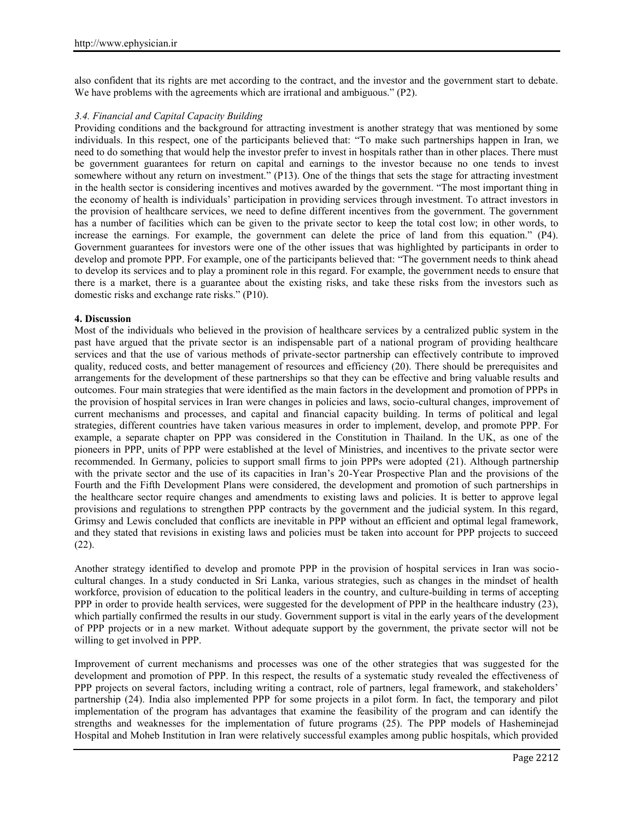also confident that its rights are met according to the contract, and the investor and the government start to debate. We have problems with the agreements which are irrational and ambiguous." (P2).

## *3.4. Financial and Capital Capacity Building*

Providing conditions and the background for attracting investment is another strategy that was mentioned by some individuals. In this respect, one of the participants believed that: "To make such partnerships happen in Iran, we need to do something that would help the investor prefer to invest in hospitals rather than in other places. There must be government guarantees for return on capital and earnings to the investor because no one tends to invest somewhere without any return on investment." (P13). One of the things that sets the stage for attracting investment in the health sector is considering incentives and motives awarded by the government. "The most important thing in the economy of health is individuals' participation in providing services through investment. To attract investors in the provision of healthcare services, we need to define different incentives from the government. The government has a number of facilities which can be given to the private sector to keep the total cost low; in other words, to increase the earnings. For example, the government can delete the price of land from this equation." (P4). Government guarantees for investors were one of the other issues that was highlighted by participants in order to develop and promote PPP. For example, one of the participants believed that: "The government needs to think ahead to develop its services and to play a prominent role in this regard. For example, the government needs to ensure that there is a market, there is a guarantee about the existing risks, and take these risks from the investors such as domestic risks and exchange rate risks." (P10).

## **4. Discussion**

Most of the individuals who believed in the provision of healthcare services by a centralized public system in the past have argued that the private sector is an indispensable part of a national program of providing healthcare services and that the use of various methods of private-sector partnership can effectively contribute to improved quality, reduced costs, and better management of resources and efficiency (20). There should be prerequisites and arrangements for the development of these partnerships so that they can be effective and bring valuable results and outcomes. Four main strategies that were identified as the main factors in the development and promotion of PPPs in the provision of hospital services in Iran were changes in policies and laws, socio-cultural changes, improvement of current mechanisms and processes, and capital and financial capacity building. In terms of political and legal strategies, different countries have taken various measures in order to implement, develop, and promote PPP. For example, a separate chapter on PPP was considered in the Constitution in Thailand. In the UK, as one of the pioneers in PPP, units of PPP were established at the level of Ministries, and incentives to the private sector were recommended. In Germany, policies to support small firms to join PPPs were adopted (21). Although partnership with the private sector and the use of its capacities in Iran's 20-Year Prospective Plan and the provisions of the Fourth and the Fifth Development Plans were considered, the development and promotion of such partnerships in the healthcare sector require changes and amendments to existing laws and policies. It is better to approve legal provisions and regulations to strengthen PPP contracts by the government and the judicial system. In this regard, Grimsy and Lewis concluded that conflicts are inevitable in PPP without an efficient and optimal legal framework, and they stated that revisions in existing laws and policies must be taken into account for PPP projects to succeed (22).

Another strategy identified to develop and promote PPP in the provision of hospital services in Iran was socio cultural changes. In a study conducted in Sri Lanka, various strategies, such as changes in the mindset of health workforce, provision of education to the political leaders in the country, and culture-building in terms of accepting PPP in order to provide health services, were suggested for the development of PPP in the healthcare industry (23), which partially confirmed the results in our study. Government support is vital in the early years of the development of PPP projects or in a new market. Without adequate support by the government, the private sector will not be willing to get involved in PPP.

Improvement of current mechanisms and processes was one of the other strategies that was suggested for the development and promotion of PPP. In this respect, the results of a systematic study revealed the effectiveness of PPP projects on several factors, including writing a contract, role of partners, legal framework, and stakeholders' partnership (24). India also implemented PPP for some projects in a pilot form. In fact, the temporary and pilot implementation of the program has advantages that examine the feasibility of the program and can identify the strengths and weaknesses for the implementation of future programs (25). The PPP models of Hasheminejad Hospital and Moheb Institution in Iran were relatively successful examples among public hospitals, which provided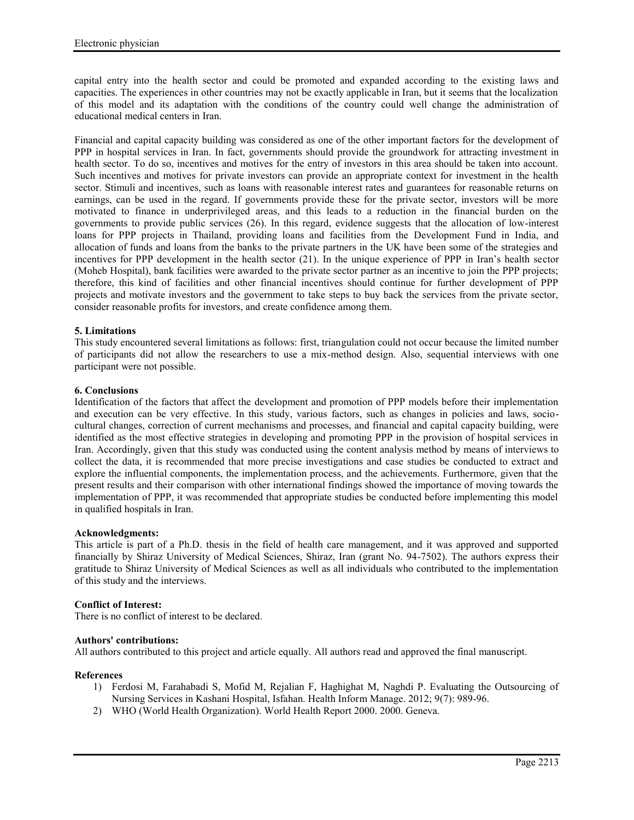capital entry into the health sector and could be promoted and expanded according to the existing laws and capacities. The experiences in other countries may not be exactly applicable in Iran, but it seems that the localization of this model and its adaptation with the conditions of the country could well change the administration of educational medical centers in Iran.

Financial and capital capacity building was considered as one of the other important factors for the development of PPP in hospital services in Iran. In fact, governments should provide the groundwork for attracting investment in health sector. To do so, incentives and motives for the entry of investors in this area should be taken into account. Such incentives and motives for private investors can provide an appropriate context for investment in the health sector. Stimuli and incentives, such as loans with reasonable interest rates and guarantees for reasonable returns on earnings, can be used in the regard. If governments provide these for the private sector, investors will be more motivated to finance in underprivileged areas, and this leads to a reduction in the financial burden on the governments to provide public services (26). In this regard, evidence suggests that the allocation of low-interest loans for PPP projects in Thailand, providing loans and facilities from the Development Fund in India, and allocation of funds and loans from the banks to the private partners in the UK have been some of the strategies and incentives for PPP development in the health sector (21). In the unique experience of PPP in Iran's health sector (Moheb Hospital), bank facilities were awarded to the private sector partner as an incentive to join the PPP projects; therefore, this kind of facilities and other financial incentives should continue for further development of PPP projects and motivate investors and the government to take steps to buy back the services from the private sector, consider reasonable profits for investors, and create confidence among them.

# **5. Limitations**

This study encountered several limitations as follows: first, triangulation could not occur because the limited number of participants did not allow the researchers to use a mix-method design. Also, sequential interviews with one participant were not possible.

## **6. Conclusions**

Identification of the factors that affect the development and promotion of PPP models before their implementation and execution can be very effective. In this study, various factors, such as changes in policies and laws, socio cultural changes, correction of current mechanisms and processes, and financial and capital capacity building, were identified as the most effective strategies in developing and promoting PPP in the provision of hospital services in Iran. Accordingly, given that this study was conducted using the content analysis method by means of interviews to collect the data, it is recommended that more precise investigations and case studies be conducted to extract and explore the influential components, the implementation process, and the achievements. Furthermore, given that the present results and their comparison with other international findings showed the importance of moving towards the implementation of PPP, it was recommended that appropriate studies be conducted before implementing this model in qualified hospitals in Iran.

#### **Acknowledgments:**

This article is part of a Ph.D. thesis in the field of health care management, and it was approved and supported financially by Shiraz University of Medical Sciences, Shiraz, Iran (grant No. 94-7502). The authors express their gratitude to Shiraz University of Medical Sciences as well as all individuals who contributed to the implementation of this study and the interviews.

## **Conflict of Interest:**

There is no conflict of interest to be declared.

#### **Authors' contributions:**

All authors contributed to this project and article equally. All authors read and approved the final manuscript.

## **References**

- 1) Ferdosi M, Farahabadi S, Mofid M, Rejalian F, Haghighat M, Naghdi P. Evaluating the Outsourcing of Nursing Services in Kashani Hospital, Isfahan. Health Inform Manage. 2012; 9(7): 989-96.
- 2) WHO (World Health Organization). World Health Report 2000. 2000. Geneva.